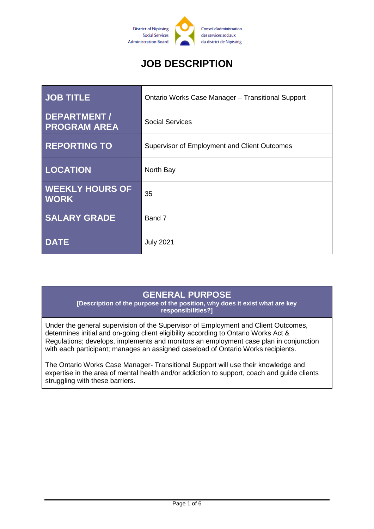

# **JOB DESCRIPTION**

| <b>JOB TITLE</b>                          | <b>Ontario Works Case Manager - Transitional Support</b> |
|-------------------------------------------|----------------------------------------------------------|
| <b>DEPARTMENT/</b><br><b>PROGRAM AREA</b> | <b>Social Services</b>                                   |
| <b>REPORTING TO</b>                       | Supervisor of Employment and Client Outcomes             |
| <b>LOCATION</b>                           | North Bay                                                |
| <b>WEEKLY HOURS OF</b><br><b>WORK</b>     | 35                                                       |
| <b>SALARY GRADE</b>                       | Band 7                                                   |
| <b>DATE</b>                               | <b>July 2021</b>                                         |

## **GENERAL PURPOSE**

**[Description of the purpose of the position, why does it exist what are key responsibilities?]**

Under the general supervision of the Supervisor of Employment and Client Outcomes, determines initial and on-going client eligibility according to Ontario Works Act & Regulations; develops, implements and monitors an employment case plan in conjunction with each participant; manages an assigned caseload of Ontario Works recipients.

The Ontario Works Case Manager- Transitional Support will use their knowledge and expertise in the area of mental health and/or addiction to support, coach and guide clients struggling with these barriers.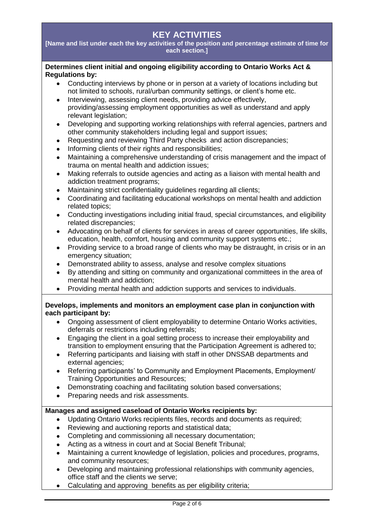## **KEY ACTIVITIES**

**[Name and list under each the key activities of the position and percentage estimate of time for each section.]**

#### **Determines client initial and ongoing eligibility according to Ontario Works Act & Regulations by:**

- Conducting interviews by phone or in person at a variety of locations including but not limited to schools, rural/urban community settings, or client's home etc.
- Interviewing, assessing client needs, providing advice effectively, providing/assessing employment opportunities as well as understand and apply relevant legislation;
- Developing and supporting working relationships with referral agencies, partners and other community stakeholders including legal and support issues;
- Requesting and reviewing Third Party checks and action discrepancies;
- Informing clients of their rights and responsibilities;
- Maintaining a comprehensive understanding of crisis management and the impact of trauma on mental health and addiction issues;
- Making referrals to outside agencies and acting as a liaison with mental health and addiction treatment programs;
- Maintaining strict confidentiality guidelines regarding all clients;
- Coordinating and facilitating educational workshops on mental health and addiction related topics;
- Conducting investigations including initial fraud, special circumstances, and eligibility related discrepancies;
- Advocating on behalf of clients for services in areas of career opportunities, life skills, education, health, comfort, housing and community support systems etc.;
- Providing service to a broad range of clients who may be distraught, in crisis or in an emergency situation;
- Demonstrated ability to assess, analyse and resolve complex situations
- By attending and sitting on community and organizational committees in the area of mental health and addiction;
- Providing mental health and addiction supports and services to individuals.

#### **Develops, implements and monitors an employment case plan in conjunction with each participant by:**

- Ongoing assessment of client employability to determine Ontario Works activities, deferrals or restrictions including referrals;
- Engaging the client in a goal setting process to increase their employability and transition to employment ensuring that the Participation Agreement is adhered to;
- Referring participants and liaising with staff in other DNSSAB departments and external agencies;
- Referring participants' to Community and Employment Placements, Employment/ Training Opportunities and Resources;
- Demonstrating coaching and facilitating solution based conversations;
- Preparing needs and risk assessments.

#### **Manages and assigned caseload of Ontario Works recipients by:**

- Updating Ontario Works recipients files, records and documents as required;
- Reviewing and auctioning reports and statistical data;
- Completing and commissioning all necessary documentation;
- Acting as a witness in court and at Social Benefit Tribunal;
- Maintaining a current knowledge of legislation, policies and procedures, programs, and community resources;
- Developing and maintaining professional relationships with community agencies, office staff and the clients we serve;
- Calculating and approving benefits as per eligibility criteria;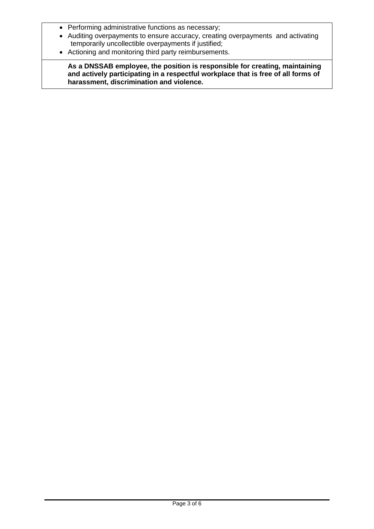- Performing administrative functions as necessary;
- Auditing overpayments to ensure accuracy, creating overpayments and activating temporarily uncollectible overpayments if justified;
- Actioning and monitoring third party reimbursements.

**As a DNSSAB employee, the position is responsible for creating, maintaining and actively participating in a respectful workplace that is free of all forms of harassment, discrimination and violence.**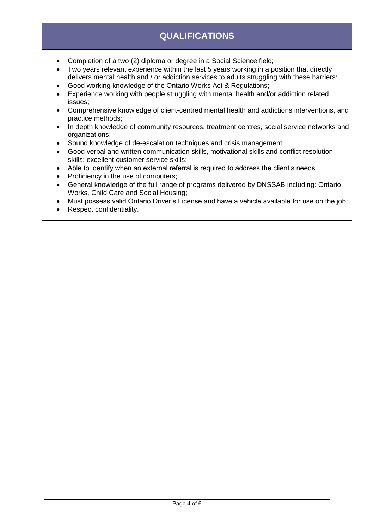## **QUALIFICATIONS**

- Completion of a two (2) diploma or degree in a Social Science field:
- Two years relevant experience within the last 5 years working in a position that directly delivers mental health and / or addiction services to adults struggling with these barriers:
- Good working knowledge of the Ontario Works Act & Regulations;
- Experience working with people struggling with mental health and/or addiction related issues;
- Comprehensive knowledge of client-centred mental health and addictions interventions, and practice methods;
- In depth knowledge of community resources, treatment centres, social service networks and organizations;
- Sound knowledge of de-escalation techniques and crisis management;
- Good verbal and written communication skills, motivational skills and conflict resolution skills; excellent customer service skills;
- Able to identify when an external referral is required to address the client's needs
- Proficiency in the use of computers;
- General knowledge of the full range of programs delivered by DNSSAB including: Ontario Works, Child Care and Social Housing;
- Must possess valid Ontario Driver's License and have a vehicle available for use on the job;
- Respect confidentiality.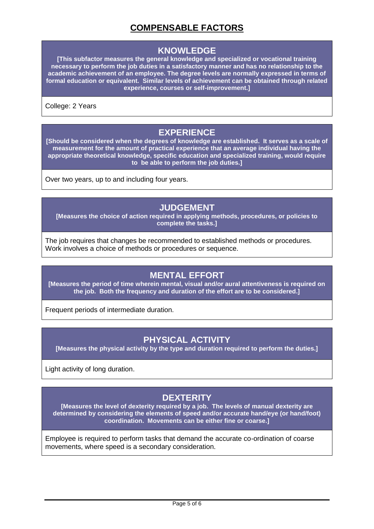## **COMPENSABLE FACTORS**

#### **KNOWLEDGE**

**[This subfactor measures the general knowledge and specialized or vocational training necessary to perform the job duties in a satisfactory manner and has no relationship to the academic achievement of an employee. The degree levels are normally expressed in terms of formal education or equivalent. Similar levels of achievement can be obtained through related experience, courses or self-improvement.]**

College: 2 Years

### **EXPERIENCE**

**[Should be considered when the degrees of knowledge are established. It serves as a scale of measurement for the amount of practical experience that an average individual having the appropriate theoretical knowledge, specific education and specialized training, would require to be able to perform the job duties.]**

Over two years, up to and including four years.

#### **JUDGEMENT**

**[Measures the choice of action required in applying methods, procedures, or policies to complete the tasks.]**

The job requires that changes be recommended to established methods or procedures. Work involves a choice of methods or procedures or sequence.

### **MENTAL EFFORT**

**[Measures the period of time wherein mental, visual and/or aural attentiveness is required on the job. Both the frequency and duration of the effort are to be considered.]**

Frequent periods of intermediate duration.

### **PHYSICAL ACTIVITY**

**[Measures the physical activity by the type and duration required to perform the duties.]**

Light activity of long duration.

## **DEXTERITY**

**[Measures the level of dexterity required by a job. The levels of manual dexterity are determined by considering the elements of speed and/or accurate hand/eye (or hand/foot) coordination. Movements can be either fine or coarse.]**

Employee is required to perform tasks that demand the accurate co-ordination of coarse movements, where speed is a secondary consideration.